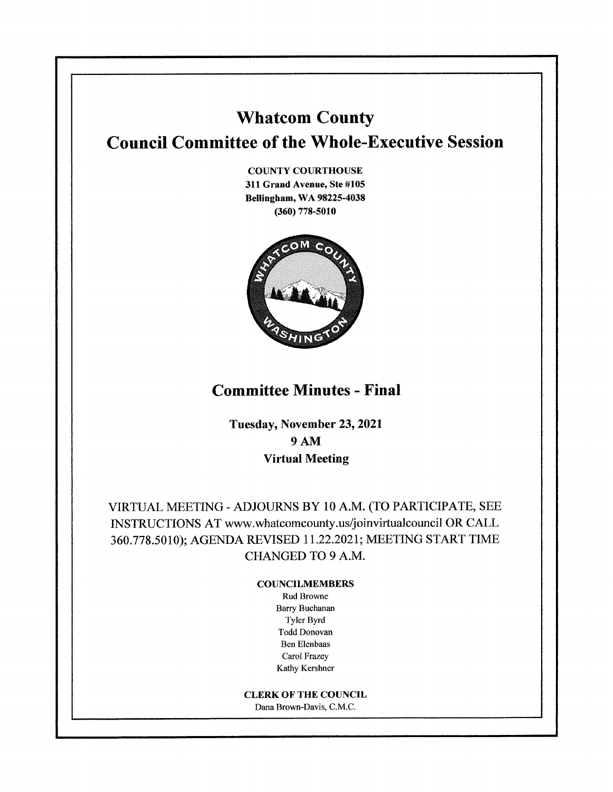# **Whatcom County Council Committee of the Whole-Executive Session**

**COUNTY COURTHOUSE 311 Grand Avenue, Ste #105 Bellingham, WA 98225-4038 (360) 778-5010** 



# **Committee Minutes - Final**

**Tuesday, November 23, 2021 9AM Virtual Meeting** 

VIRTUAL MEETING-ADJOURNS BY 10 A.M. (TO PARTICIPATE, SEE INSTRUCTIONS AT www.whatcomcounty.us/joinvirtualcouncil OR CALL 360.778.5010); AGENDA REVISED 11.22.2021; MEETING START TIME CHANGED TO 9 A.M.

#### **COUNCILMEMBERS**

Rud Browne Barry Buchanan Tyler Byrd Todd Donovan Ben Elenbaas Carol Frazey Kathy Kershner

**CLERK OF THE COUNCIL**  Dana Brown-Davis, C.M.C.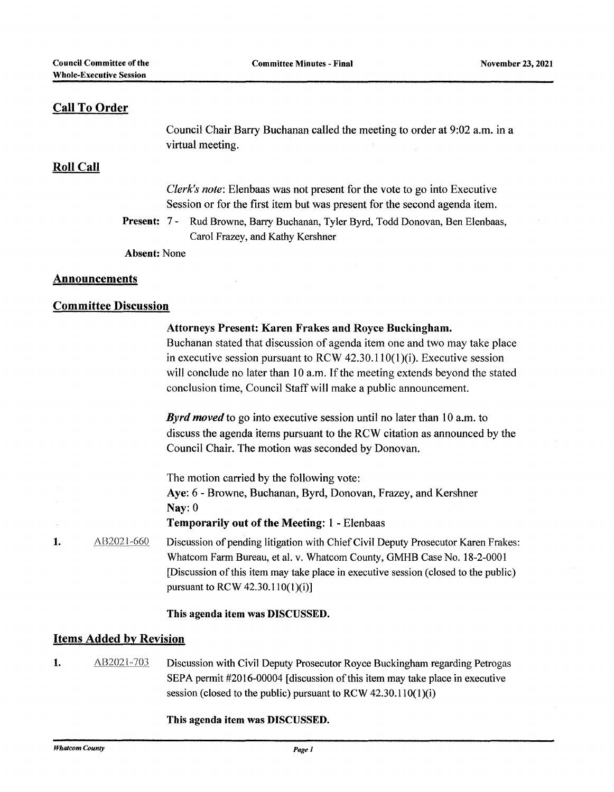### **Call To Order**

Council Chair Barry Buchanan called the meeting to order at 9:02 a.m. in a virtual meeting.

#### **Roll Call**

*Clerk's note:* Elenbaas was not present for the vote to go into Executive Session or for the first item but was present for the second agenda item.

**Present:** 7 - Rud Browne, Barry Buchanan, Tyler Byrd, Todd Donovan, Ben Elenbaas, Carol Frazey, and Kathy Kershner

**Absent:** None

#### **Announcements**

#### **Committee Discussion**

|    |            | <b>Attorneys Present: Karen Frakes and Royce Buckingham.</b><br>Buchanan stated that discussion of agenda item one and two may take place<br>in executive session pursuant to RCW $42.30.110(1)(i)$ . Executive session<br>will conclude no later than 10 a.m. If the meeting extends beyond the stated<br>conclusion time, Council Staff will make a public announcement. |
|----|------------|----------------------------------------------------------------------------------------------------------------------------------------------------------------------------------------------------------------------------------------------------------------------------------------------------------------------------------------------------------------------------|
|    |            | <b>Byrd moved</b> to go into executive session until no later than 10 a.m. to<br>discuss the agenda items pursuant to the RCW citation as announced by the<br>Council Chair. The motion was seconded by Donovan.                                                                                                                                                           |
|    |            | The motion carried by the following vote:<br>Aye: 6 - Browne, Buchanan, Byrd, Donovan, Frazey, and Kershner<br>Nay: $0$<br><b>Temporarily out of the Meeting: 1 - Elenbaas</b>                                                                                                                                                                                             |
| 1. | AB2021-660 | Discussion of pending litigation with Chief Civil Deputy Prosecutor Karen Frakes:<br>Whatcom Farm Bureau, et al. v. Whatcom County, GMHB Case No. 18-2-0001<br>[Discussion of this item may take place in executive session (closed to the public)<br>pursuant to RCW 42.30.110(1)(i)]                                                                                     |
|    |            | This agenda item was DISCUSSED.                                                                                                                                                                                                                                                                                                                                            |

#### **Items Added by Revision**

1. AB2021-703 Discussion with Civil Deputy Prosecutor Royce Buckingham regarding Petrogas SEPA permit #2016-00004 [discussion of this item may take place in executive session (closed to the public) pursuant to RCW  $42.30.110(1)(i)$ 

#### **This agenda item was DISCUSSED.**